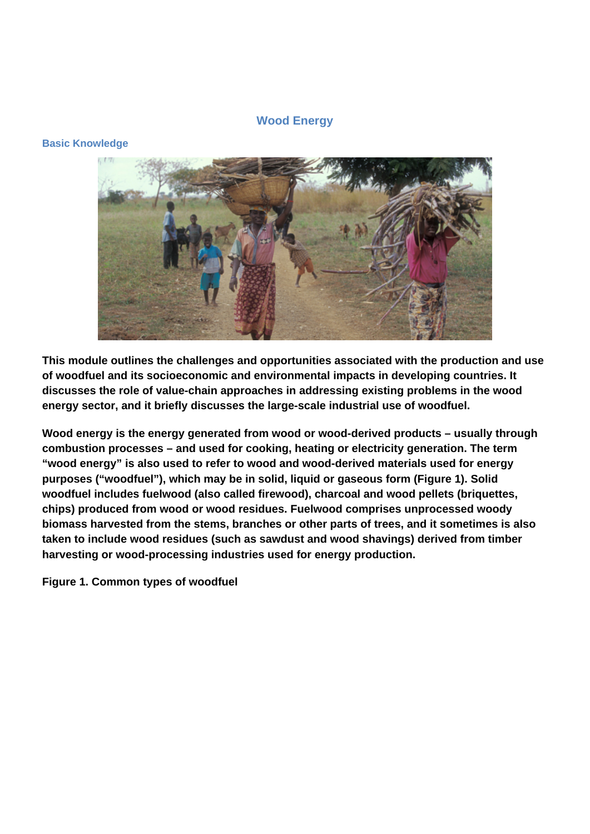# **Wood Energy**

# **Basic Knowledge**



**This module outlines the challenges and opportunities associated with the production and use of woodfuel and its socioeconomic and environmental impacts in developing countries. It discusses the role of value-chain approaches in addressing existing problems in the wood energy sector, and it briefly discusses the large-scale industrial use of woodfuel.** 

**Wood energy is the energy generated from wood or wood-derived products – usually through combustion processes – and used for cooking, heating or electricity generation. The term "wood energy" is also used to refer to wood and wood-derived materials used for energy purposes ("woodfuel"), which may be in solid, liquid or gaseous form (Figure 1). Solid woodfuel includes fuelwood (also called firewood), charcoal and wood pellets (briquettes, chips) produced from wood or wood residues. Fuelwood comprises unprocessed woody biomass harvested from the stems, branches or other parts of trees, and it sometimes is also taken to include wood residues (such as sawdust and wood shavings) derived from timber harvesting or wood-processing industries used for energy production.** 

**Figure 1. Common types of woodfuel**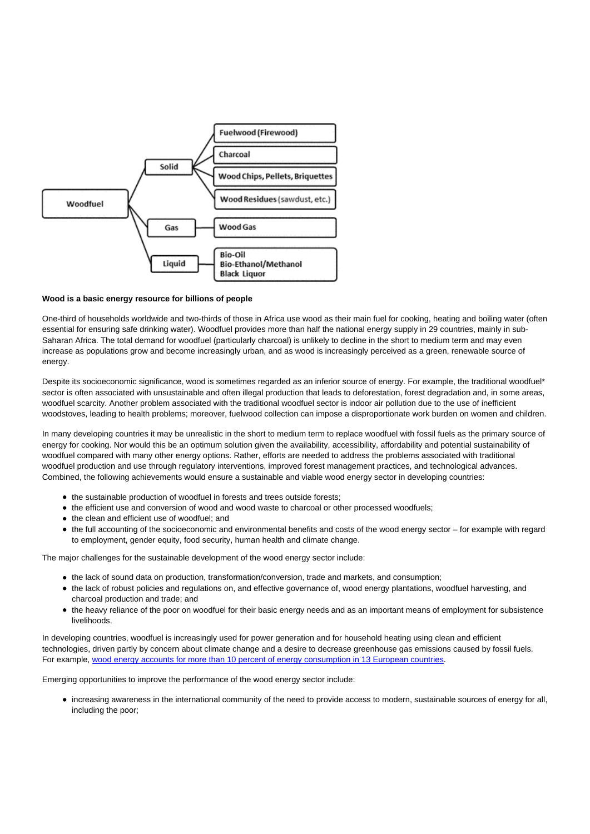

#### **Wood is a basic energy resource for billions of people**

One-third of households worldwide and two-thirds of those in Africa use wood as their main fuel for cooking, heating and boiling water (often essential for ensuring safe drinking water). Woodfuel provides more than half the national energy supply in 29 countries, mainly in sub-Saharan Africa. The total demand for woodfuel (particularly charcoal) is unlikely to decline in the short to medium term and may even increase as populations grow and become increasingly urban, and as wood is increasingly perceived as a green, renewable source of energy.

Despite its socioeconomic significance, wood is sometimes regarded as an inferior source of energy. For example, the traditional woodfuel\* sector is often associated with unsustainable and often illegal production that leads to deforestation, forest degradation and, in some areas, woodfuel scarcity. Another problem associated with the traditional woodfuel sector is indoor air pollution due to the use of inefficient woodstoves, leading to health problems; moreover, fuelwood collection can impose a disproportionate work burden on women and children.

In many developing countries it may be unrealistic in the short to medium term to replace woodfuel with fossil fuels as the primary source of energy for cooking. Nor would this be an optimum solution given the availability, accessibility, affordability and potential sustainability of woodfuel compared with many other energy options. Rather, efforts are needed to address the problems associated with traditional woodfuel production and use through regulatory interventions, improved forest management practices, and technological advances. Combined, the following achievements would ensure a sustainable and viable wood energy sector in developing countries:

- the sustainable production of woodfuel in forests and trees outside forests;
- the efficient use and conversion of wood and wood waste to charcoal or other processed woodfuels;
- the clean and efficient use of woodfuel: and
- the full accounting of the socioeconomic and environmental benefits and costs of the wood energy sector for example with regard to employment, gender equity, food security, human health and climate change.

The major challenges for the sustainable development of the wood energy sector include:

- the lack of sound data on production, transformation/conversion, trade and markets, and consumption;
- the lack of robust policies and regulations on, and effective governance of, wood energy plantations, woodfuel harvesting, and charcoal production and trade; and
- the heavy reliance of the poor on woodfuel for their basic energy needs and as an important means of employment for subsistence livelihoods.

In developing countries, woodfuel is increasingly used for power generation and for household heating using clean and efficient technologies, driven partly by concern about climate change and a desire to decrease greenhouse gas emissions caused by fossil fuels. For example, [wood energy accounts for more than 10 percent of energy consumption in 13 European countries.](http://www.fao.org/3/a-i3710e.pdf)

Emerging opportunities to improve the performance of the wood energy sector include:

increasing awareness in the international community of the need to provide access to modern, sustainable sources of energy for all, including the poor;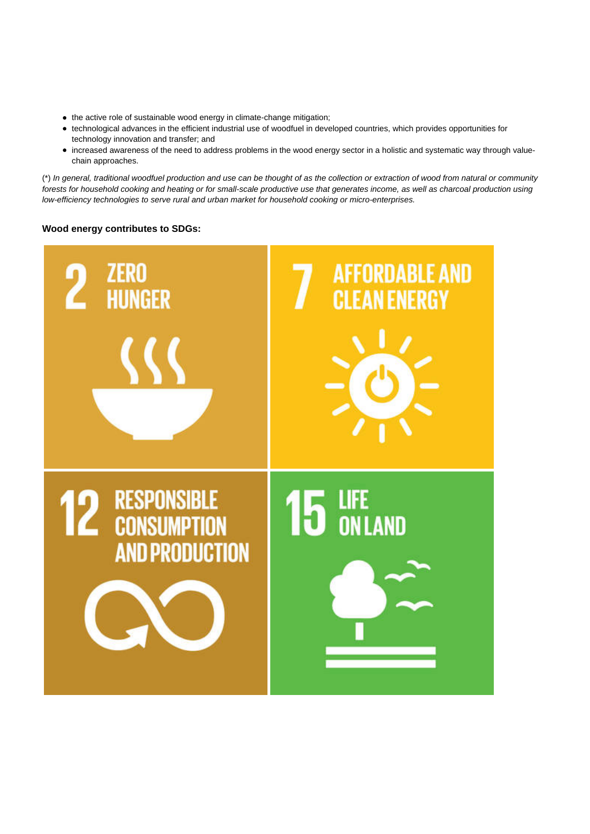- the active role of sustainable wood energy in climate-change mitigation;
- technological advances in the efficient industrial use of woodfuel in developed countries, which provides opportunities for technology innovation and transfer; and
- increased awareness of the need to address problems in the wood energy sector in a holistic and systematic way through valuechain approaches.

(\*) In general, traditional woodfuel production and use can be thought of as the collection or extraction of wood from natural or community forests for household cooking and heating or for small-scale productive use that generates income, as well as charcoal production using low-efficiency technologies to serve rural and urban market for household cooking or micro-enterprises.

## **Wood energy contributes to SDGs:**

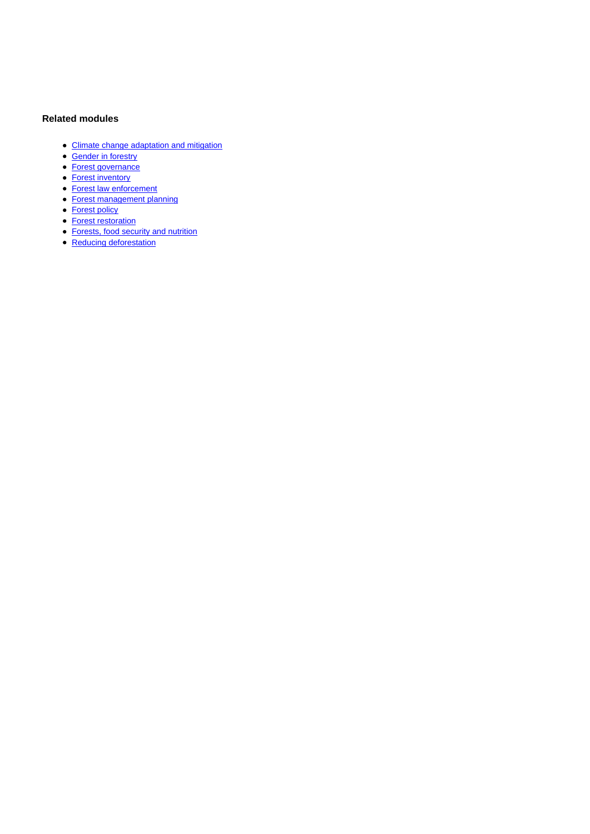# **Related modules**

- [Climate change adaptation and mitigation](http://www.fao.org/sustainable-forest-management/toolbox/modules/climate-change-adaptation-and-mitigation/basic-knowledge/en/)
- [Gender in forestry](http://www.fao.org/sustainable-forest-management/toolbox/modules/gender-in-forestry/basic-knowledge/en/)
- [Forest governance](http://www.fao.org/sustainable-forest-management/toolbox/modules/forest-governance/basic-knowledge/en/)
- [Forest inventory](http://www.fao.org/sustainable-forest-management/toolbox/modules/forest-inventory/basic-knowledge/en/)
- [Forest law enforcement](http://www.fao.org/sustainable-forest-management/toolbox/modules/forest-law-enforcement/basic-knowledge/en/)
- [Forest management planning](http://www.fao.org/sustainable-forest-management/toolbox/modules/forest-management-planning/basic-knowledge/en/)
- [Forest policy](http://www.fao.org/sustainable-forest-management/toolbox/modules/forest-policy/basic-knowledge/en/)
- [Forest restoration](http://www.fao.org/sustainable-forest-management/toolbox/modules/forest-restoration/basic-knowledge/en/)
- **[Forests, food security and nutrition](http://www.fao.org/sustainable-forest-management/toolbox/modules/forests-food-security-and-nutrition/basic-knowledge/en/)**
- [Reducing deforestation](http://www.fao.org/sustainable-forest-management/toolbox/modules/reducing-deforestation/basic-knowledge/en/)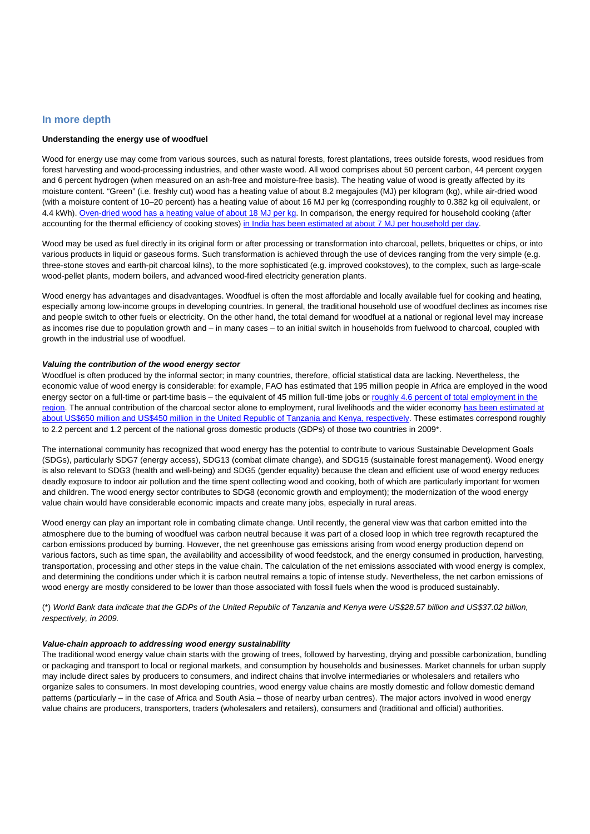### **In more depth**

### **Understanding the energy use of woodfuel**

Wood for energy use may come from various sources, such as natural forests, forest plantations, trees outside forests, wood residues from forest harvesting and wood-processing industries, and other waste wood. All wood comprises about 50 percent carbon, 44 percent oxygen and 6 percent hydrogen (when measured on an ash-free and moisture-free basis). The heating value of wood is greatly affected by its moisture content. "Green" (i.e. freshly cut) wood has a heating value of about 8.2 megajoules (MJ) per kilogram (kg), while air-dried wood (with a moisture content of 10–20 percent) has a heating value of about 16 MJ per kg (corresponding roughly to 0.382 kg oil equivalent, or 4.4 kWh). [Oven-dried wood has a heating value of about 18 MJ per kg.](https://www.iea.org/publications/freepublications/publication/statistics_manual.pdf) In comparison, the energy required for household cooking (after accounting for the thermal efficiency of cooking stoves) [in India has been estimated at about 7 MJ per household per day](http://indiaenergy.gov.in/docs/Cooking.pdf).

Wood may be used as fuel directly in its original form or after processing or transformation into charcoal, pellets, briquettes or chips, or into various products in liquid or gaseous forms. Such transformation is achieved through the use of devices ranging from the very simple (e.g. three-stone stoves and earth-pit charcoal kilns), to the more sophisticated (e.g. improved cookstoves), to the complex, such as large-scale wood-pellet plants, modern boilers, and advanced wood-fired electricity generation plants.

Wood energy has advantages and disadvantages. Woodfuel is often the most affordable and locally available fuel for cooking and heating, especially among low-income groups in developing countries. In general, the traditional household use of woodfuel declines as incomes rise and people switch to other fuels or electricity. On the other hand, the total demand for woodfuel at a national or regional level may increase as incomes rise due to population growth and – in many cases – to an initial switch in households from fuelwood to charcoal, coupled with growth in the industrial use of woodfuel.

#### **Valuing the contribution of the wood energy sector**

Woodfuel is often produced by the informal sector; in many countries, therefore, official statistical data are lacking. Nevertheless, the economic value of wood energy is considerable: for example, FAO has estimated that 195 million people in Africa are employed in the wood energy sector on a full-time or part-time basis – the equivalent of 45 million full-time jobs or [roughly 4.6 percent of total employment in the](http://www.fao.org/3/a-i3710e.pdf) [region](http://www.fao.org/3/a-i3710e.pdf). The annual contribution of the charcoal sector alone to employment, rural livelihoods and the wider economy [has been estimated at](http://www-wds.worldbank.org/external/default/WDSContentServer/WDSP/IB/2010/06/21/000334955_20100621061608/Rendered/PDF/551400ESW0P1201PE1Charcoal1TZ1FINAL.pdf) [about US\\$650 million and US\\$450 million in the United Republic of Tanzania and Kenya, respectively](http://www-wds.worldbank.org/external/default/WDSContentServer/WDSP/IB/2010/06/21/000334955_20100621061608/Rendered/PDF/551400ESW0P1201PE1Charcoal1TZ1FINAL.pdf). These estimates correspond roughly to 2.2 percent and 1.2 percent of the national gross domestic products (GDPs) of those two countries in 2009\*.

The international community has recognized that wood energy has the potential to contribute to various Sustainable Development Goals (SDGs), particularly SDG7 (energy access), SDG13 (combat climate change), and SDG15 (sustainable forest management). Wood energy is also relevant to SDG3 (health and well-being) and SDG5 (gender equality) because the clean and efficient use of wood energy reduces deadly exposure to indoor air pollution and the time spent collecting wood and cooking, both of which are particularly important for women and children. The wood energy sector contributes to SDG8 (economic growth and employment); the modernization of the wood energy value chain would have considerable economic impacts and create many jobs, especially in rural areas.

Wood energy can play an important role in combating climate change. Until recently, the general view was that carbon emitted into the atmosphere due to the burning of woodfuel was carbon neutral because it was part of a closed loop in which tree regrowth recaptured the carbon emissions produced by burning. However, the net greenhouse gas emissions arising from wood energy production depend on various factors, such as time span, the availability and accessibility of wood feedstock, and the energy consumed in production, harvesting, transportation, processing and other steps in the value chain. The calculation of the net emissions associated with wood energy is complex, and determining the conditions under which it is carbon neutral remains a topic of intense study. Nevertheless, the net carbon emissions of wood energy are mostly considered to be lower than those associated with fossil fuels when the wood is produced sustainably.

(\*) World Bank data indicate that the GDPs of the United Republic of Tanzania and Kenya were US\$28.57 billion and US\$37.02 billion, respectively, in 2009.

#### **Value-chain approach to addressing wood energy sustainability**

The traditional wood energy value chain starts with the growing of trees, followed by harvesting, drying and possible carbonization, bundling or packaging and transport to local or regional markets, and consumption by households and businesses. Market channels for urban supply may include direct sales by producers to consumers, and indirect chains that involve intermediaries or wholesalers and retailers who organize sales to consumers. In most developing countries, wood energy value chains are mostly domestic and follow domestic demand patterns (particularly – in the case of Africa and South Asia – those of nearby urban centres). The major actors involved in wood energy value chains are producers, transporters, traders (wholesalers and retailers), consumers and (traditional and official) authorities.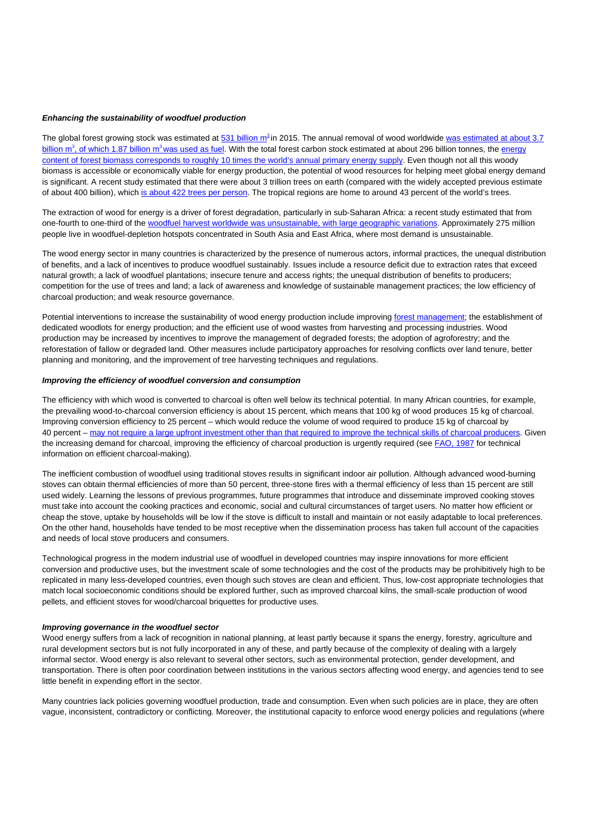#### **Enhancing the sustainability of woodfuel production**

The global forest growing stock was estimated at [531 billion m](http://www.fao.org/3/a-i4793e.pdf)<sup>[3](http://www.fao.org/3/a-i4793e.pdf)</sup> in 2015. The annual removal of wood worldwide [was estimated at about 3.7](http://www.fao.org/faostat/en/#data/FO) [billion m](http://www.fao.org/faostat/en/#data/FO)<sup>[3](http://www.fao.org/faostat/en/#data/FO)</sup>[, of which 1.87 billion m](http://www.fao.org/faostat/en/#data/FO)<sup>3</sup> [was used as fuel](http://www.fao.org/faostat/en/#data/FO). With the total forest carbon stock estimated at about 296 billion tonnes, the [energy](http://www.fao.org/3/I9535EN/i9535en.pdf) [content of forest biomass corresponds to roughly 10 times the world's annual primary energy supply.](http://www.fao.org/3/I9535EN/i9535en.pdf) Even though not all this woody biomass is accessible or economically viable for energy production, the potential of wood resources for helping meet global energy demand is significant. A recent study estimated that there were about 3 trillion trees on earth (compared with the widely accepted previous estimate of about 400 billion), which [is about 422 trees per person.](http://www.nature.com/nature/journal/v525/n7568/full/nature14967.html) The tropical regions are home to around 43 percent of the world's trees.

The extraction of wood for energy is a driver of forest degradation, particularly in sub-Saharan Africa: a recent study estimated that from one-fourth to one-third of the [woodfuel harvest worldwide was unsustainable, with large geographic variations](http://rembio.org.mx/wp-content/uploads/2015/01/Bailis-et-al-2015-The-Carbon-Footprint-of-Traditional-Biofuels.pdf). Approximately 275 million people live in woodfuel-depletion hotspots concentrated in South Asia and East Africa, where most demand is unsustainable.

The wood energy sector in many countries is characterized by the presence of numerous actors, informal practices, the unequal distribution of benefits, and a lack of incentives to produce woodfuel sustainably. Issues include a resource deficit due to extraction rates that exceed natural growth; a lack of woodfuel plantations; insecure tenure and access rights; the unequal distribution of benefits to producers; competition for the use of trees and land; a lack of awareness and knowledge of sustainable management practices; the low efficiency of charcoal production; and weak resource governance.

Potential interventions to increase the sustainability of wood energy production include improving [forest management;](http://www.fao.org/sustainable-forest-management/toolbox/modules/forest-management-planning/basic-knowledge/en/) the establishment of dedicated woodlots for energy production; and the efficient use of wood wastes from harvesting and processing industries. Wood production may be increased by incentives to improve the management of degraded forests; the adoption of agroforestry; and the reforestation of fallow or degraded land. Other measures include participatory approaches for resolving conflicts over land tenure, better planning and monitoring, and the improvement of tree harvesting techniques and regulations.

#### **Improving the efficiency of woodfuel conversion and consumption**

The efficiency with which wood is converted to charcoal is often well below its technical potential. In many African countries, for example, the prevailing wood-to-charcoal conversion efficiency is about 15 percent, which means that 100 kg of wood produces 15 kg of charcoal. Improving conversion efficiency to 25 percent – which would reduce the volume of wood required to produce 15 kg of charcoal by 40 percent – [may not require a large upfront investment other than that required to improve the technical skills of charcoal producers.](http://english.rvo.nl/sites/default/files/2013/12/Report%20Charcoal%20-%20BTG%20-%20NPSB_0.pdf) Given the increasing demand for charcoal, improving the efficiency of charcoal production is urgently required (see [FAO, 1987](http://www.fao.org/docrep/X5328e/X5328e00.htm) for technical information on efficient charcoal-making).

The inefficient combustion of woodfuel using traditional stoves results in significant indoor air pollution. Although advanced wood-burning stoves can obtain thermal efficiencies of more than 50 percent, three-stone fires with a thermal efficiency of less than 15 percent are still used widely. Learning the lessons of previous programmes, future programmes that introduce and disseminate improved cooking stoves must take into account the cooking practices and economic, social and cultural circumstances of target users. No matter how efficient or cheap the stove, uptake by households will be low if the stove is difficult to install and maintain or not easily adaptable to local preferences. On the other hand, households have tended to be most receptive when the dissemination process has taken full account of the capacities and needs of local stove producers and consumers.

Technological progress in the modern industrial use of woodfuel in developed countries may inspire innovations for more efficient conversion and productive uses, but the investment scale of some technologies and the cost of the products may be prohibitively high to be replicated in many less-developed countries, even though such stoves are clean and efficient. Thus, low-cost appropriate technologies that match local socioeconomic conditions should be explored further, such as improved charcoal kilns, the small-scale production of wood pellets, and efficient stoves for wood/charcoal briquettes for productive uses.

#### **Improving governance in the woodfuel sector**

Wood energy suffers from a lack of recognition in national planning, at least partly because it spans the energy, forestry, agriculture and rural development sectors but is not fully incorporated in any of these, and partly because of the complexity of dealing with a largely informal sector. Wood energy is also relevant to several other sectors, such as environmental protection, gender development, and transportation. There is often poor coordination between institutions in the various sectors affecting wood energy, and agencies tend to see little benefit in expending effort in the sector.

Many countries lack policies governing woodfuel production, trade and consumption. Even when such policies are in place, they are often vague, inconsistent, contradictory or conflicting. Moreover, the institutional capacity to enforce wood energy policies and regulations (where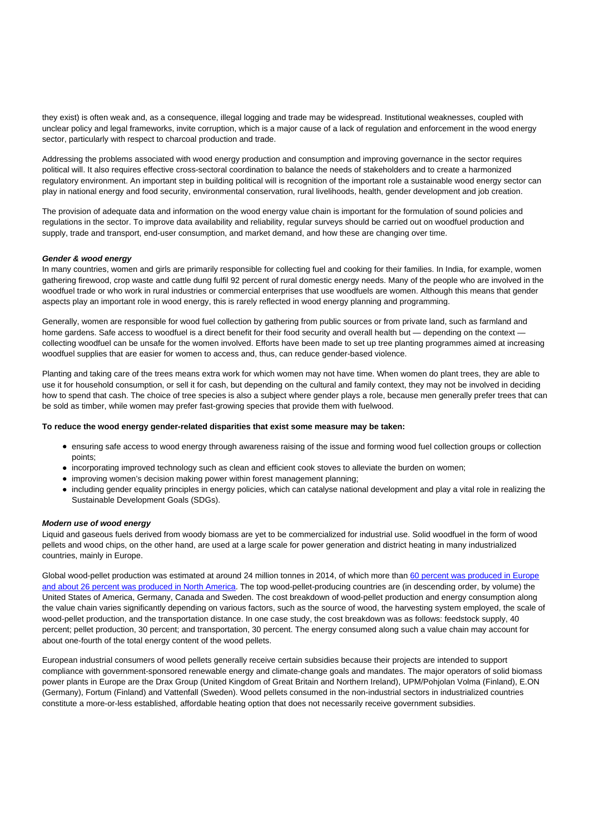they exist) is often weak and, as a consequence, illegal logging and trade may be widespread. Institutional weaknesses, coupled with unclear policy and legal frameworks, invite corruption, which is a major cause of a lack of regulation and enforcement in the wood energy sector, particularly with respect to charcoal production and trade.

Addressing the problems associated with wood energy production and consumption and improving governance in the sector requires political will. It also requires effective cross-sectoral coordination to balance the needs of stakeholders and to create a harmonized regulatory environment. An important step in building political will is recognition of the important role a sustainable wood energy sector can play in national energy and food security, environmental conservation, rural livelihoods, health, gender development and job creation.

The provision of adequate data and information on the wood energy value chain is important for the formulation of sound policies and regulations in the sector. To improve data availability and reliability, regular surveys should be carried out on woodfuel production and supply, trade and transport, end-user consumption, and market demand, and how these are changing over time.

### **Gender & wood energy**

In many countries, women and girls are primarily responsible for collecting fuel and cooking for their families. In India, for example, women gathering firewood, crop waste and cattle dung fulfil 92 percent of rural domestic energy needs. Many of the people who are involved in the woodfuel trade or who work in rural industries or commercial enterprises that use woodfuels are women. Although this means that gender aspects play an important role in wood energy, this is rarely reflected in wood energy planning and programming.

Generally, women are responsible for wood fuel collection by gathering from public sources or from private land, such as farmland and home gardens. Safe access to woodfuel is a direct benefit for their food security and overall health but — depending on the context collecting woodfuel can be unsafe for the women involved. Efforts have been made to set up tree planting programmes aimed at increasing woodfuel supplies that are easier for women to access and, thus, can reduce gender-based violence.

Planting and taking care of the trees means extra work for which women may not have time. When women do plant trees, they are able to use it for household consumption, or sell it for cash, but depending on the cultural and family context, they may not be involved in deciding how to spend that cash. The choice of tree species is also a subject where gender plays a role, because men generally prefer trees that can be sold as timber, while women may prefer fast-growing species that provide them with fuelwood.

#### **To reduce the wood energy gender-related disparities that exist some measure may be taken:**

- ensuring safe access to wood energy through awareness raising of the issue and forming wood fuel collection groups or collection points;
- incorporating improved technology such as clean and efficient cook stoves to alleviate the burden on women;
- improving women's decision making power within forest management planning;
- including gender equality principles in energy policies, which can catalyse national development and play a vital role in realizing the Sustainable Development Goals (SDGs).

#### **Modern use of wood energy**

Liquid and gaseous fuels derived from woody biomass are yet to be commercialized for industrial use. Solid woodfuel in the form of wood pellets and wood chips, on the other hand, are used at a large scale for power generation and district heating in many industrialized countries, mainly in Europe.

Global wood-pellet production was estimated at around 24 million tonnes in 2014, of which more than [60 percent was produced in Europe](http://www.ren21.net/GSR-2015-Report-Full-report-EN) [and about 26 percent was produced in North America.](http://www.ren21.net/GSR-2015-Report-Full-report-EN) The top wood-pellet-producing countries are (in descending order, by volume) the United States of America, Germany, Canada and Sweden. The cost breakdown of wood-pellet production and energy consumption along the value chain varies significantly depending on various factors, such as the source of wood, the harvesting system employed, the scale of wood-pellet production, and the transportation distance. In one case study, the cost breakdown was as follows: feedstock supply, 40 percent; pellet production, 30 percent; and transportation, 30 percent. The energy consumed along such a value chain may account for about one-fourth of the total energy content of the wood pellets.

European industrial consumers of wood pellets generally receive certain subsidies because their projects are intended to support compliance with government-sponsored renewable energy and climate-change goals and mandates. The major operators of solid biomass power plants in Europe are the Drax Group (United Kingdom of Great Britain and Northern Ireland), UPM/Pohjolan Volma (Finland), E.ON (Germany), Fortum (Finland) and Vattenfall (Sweden). Wood pellets consumed in the non-industrial sectors in industrialized countries constitute a more-or-less established, affordable heating option that does not necessarily receive government subsidies.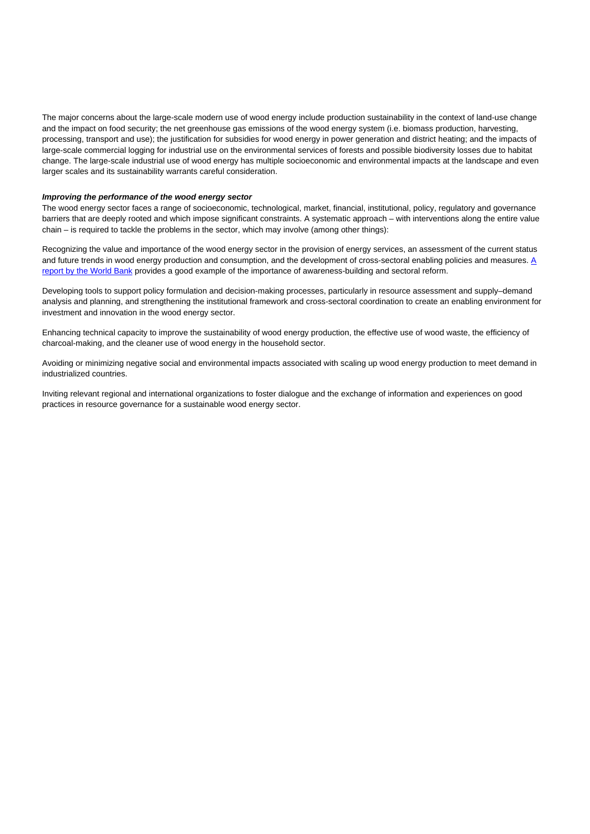The major concerns about the large-scale modern use of wood energy include production sustainability in the context of land-use change and the impact on food security; the net greenhouse gas emissions of the wood energy system (i.e. biomass production, harvesting, processing, transport and use); the justification for subsidies for wood energy in power generation and district heating; and the impacts of large-scale commercial logging for industrial use on the environmental services of forests and possible biodiversity losses due to habitat change. The large-scale industrial use of wood energy has multiple socioeconomic and environmental impacts at the landscape and even larger scales and its sustainability warrants careful consideration.

#### **Improving the performance of the wood energy sector**

The wood energy sector faces a range of socioeconomic, technological, market, financial, institutional, policy, regulatory and governance barriers that are deeply rooted and which impose significant constraints. A systematic approach – with interventions along the entire value chain – is required to tackle the problems in the sector, which may involve (among other things):

Recognizing the value and importance of the wood energy sector in the provision of energy services, an assessment of the current status and future trends in wood energy production and consumption, and the development of cross-sectoral enabling policies and measures. [A](http://www-wds.worldbank.org/external/default/WDSContentServer/WDSP/IB/2010/06/21/000334955_20100621061608/Rendered/PDF/551400ESW0P1201PE1Charcoal1TZ1FINAL.pdf) [report by the World Bank](http://www-wds.worldbank.org/external/default/WDSContentServer/WDSP/IB/2010/06/21/000334955_20100621061608/Rendered/PDF/551400ESW0P1201PE1Charcoal1TZ1FINAL.pdf) provides a good example of the importance of awareness-building and sectoral reform.

Developing tools to support policy formulation and decision-making processes, particularly in resource assessment and supply–demand analysis and planning, and strengthening the institutional framework and cross-sectoral coordination to create an enabling environment for investment and innovation in the wood energy sector.

Enhancing technical capacity to improve the sustainability of wood energy production, the effective use of wood waste, the efficiency of charcoal-making, and the cleaner use of wood energy in the household sector.

Avoiding or minimizing negative social and environmental impacts associated with scaling up wood energy production to meet demand in industrialized countries.

Inviting relevant regional and international organizations to foster dialogue and the exchange of information and experiences on good practices in resource governance for a sustainable wood energy sector.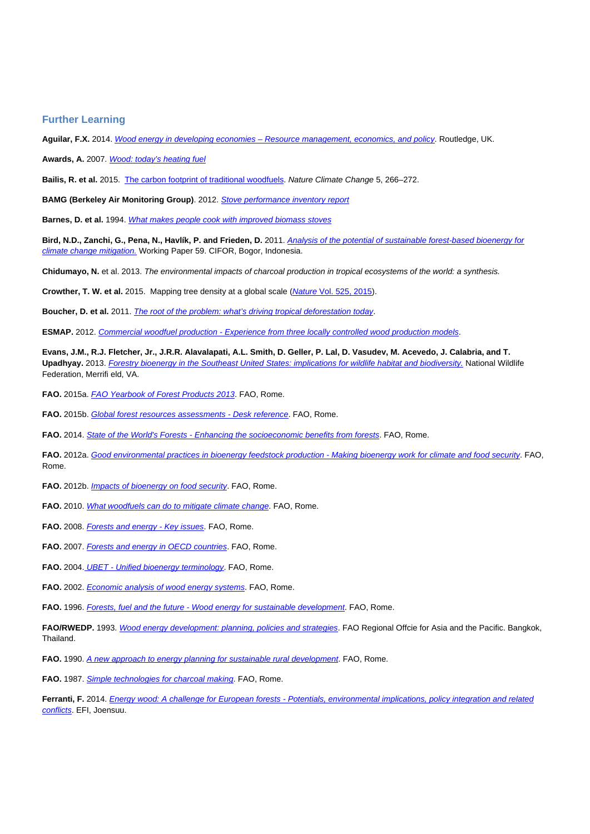### **Further Learning**

**Aguilar, F.X.** 2014. [Wood energy in developing economies – Resource management, economics, and policy](http://www.amazon.com/Wood-Energy-Developed-Economies-Management/dp/041571169X). Routledge, UK.

Awards, A. 2007. [Wood: today's heating fuel](https://www.ashden.org/files/wood-fuel_briefing_paper_2008.pdf)

**Bailis, R. et al.** 2015. [The carbon footprint of traditional woodfuels](http://www.nature.com/nclimate/journal/v5/n3/full/nclimate2491.html). Nature Climate Change 5, 266–272.

**BAMG (Berkeley Air Monitoring Group)**. 2012. [Stove performance inventory report](http://cleancookstoves.org/resources_files/stove-performance-inventory-pdf.pdf)

**Barnes, D. et al.** 1994. [What makes people cook with improved biomass stoves](http://www-wds.worldbank.org/external/default/WDSContentServer/WDSP/IB/1999/08/15/000009265_3970311122727/Rendered/PDF/multi_page.pdf)

**Bird, N.D., Zanchi, G., Pena, N., Havlík, P. and Frieden, D.** 2011. [Analysis of the potential of sustainable forest-based bioenergy for](http://www.cifor.org/publications/pdf_files/WPapers/WP59CIFOR.pdf) [climate change mitigation.](http://www.cifor.org/publications/pdf_files/WPapers/WP59CIFOR.pdf) Working Paper 59. CIFOR, Bogor, Indonesia.

**Chidumayo, N.** et al. 2013. The environmental impacts of charcoal production in tropical ecosystems of the world: a synthesis.

**Crowther, T. W. et al.** 2015. Mapping tree density at a global scale ([Nature](http://www.nature.com/nature/journal/v525/n7568/full/nature14967.html) [Vol. 525, 2015](http://www.nature.com/nature/journal/v525/n7568/full/nature14967.html)).

**Boucher, D. et al.** 2011. [The root of the problem: what's driving tropical deforestation today](http://theredddesk.org/sites/default/files/resources/pdf/ucs_rootoftheproblem_driversofdeforestation_fullreport.pdf).

**ESMAP.** 2012. [Commercial woodfuel production - Experience from three locally controlled wood production models](https://www.esmap.org/sites/esmap.org/files/FINAL-CommercialWoodfuel-KS12-12_Optimized.pdf).

**Evans, J.M., R.J. Fletcher, Jr., J.R.R. Alavalapati, A.L. Smith, D. Geller, P. Lal, D. Vasudev, M. Acevedo, J. Calabria, and T.** Upadhyay. 2013. [Forestry bioenergy in the Southeast United States: implications for wildlife habitat and biodiversity.](http://www.nwf.org/pdf/Conservation/NWF_Biomass_Biodiversity_Final.pdf) National Wildlife Federation, Merrifi eld, VA.

FAO. 2015a. **[FAO Yearbook of Forest Products 2013](http://www.fao.org/forestry/statistics/80570/en/)**. FAO, Rome.

FAO. 2015b. [Global forest resources assessments - Desk reference](http://www.fao.org/3/a-i4808e.pdf). FAO, Rome.

FAO. 2014. [State of the World's Forests - Enhancing the socioeconomic benefits from forests](http://www.fao.org/3/cf470fab-cc3c-4a50-b124-16a306ee11a6/i3710e.pdf)</u>. FAO, Rome.

FAO. 2012a. [Good environmental practices in bioenergy feedstock production - Making bioenergy work for climate and food security](http://www.fao.org/docrep/015/i2596e/i2596e00.pdf). FAO, Rome.

FAO. 2012b. *[Impacts of bioenergy on food security](http://www.fao.org/docrep/015/i2599e/i2599e00.pdf)*. FAO, Rome.

FAO. 2010. [What woodfuels can do to mitigate climate change](http://www.fao.org/docrep/013/i1756e/i1756e00.pdf). FAO, Rome.

FAO. 2008. **[Forests and energy - Key issues](http://www.fao.org/docrep/010/i0139e/i0139e00.htm)**. FAO, Rome.

FAO. 2007. **[Forests and energy in OECD countries](http://www.fao.org/forestry/13443-0c70e6a4e0158e8ce0ed0899710da60a6.pdf)**. FAO, Rome.

**FAO.** 2004[.](http://www.fao.org/docrep/007/j4504e/j4504e00.htm) [UBET -](http://www.fao.org/docrep/007/j4504e/j4504e00.htm) [Unified bioenergy terminology](http://www.fao.org/docrep/007/j4504e/j4504e00.htm). FAO, Rome.

FAO. 2002. **[Economic analysis of wood energy systems](http://www.fao.org/docrep/006/Y4327E/Y4327E00.HTM)**. FAO, Rome.

FAO. 1996. [Forests, fuel and the future - Wood energy for sustainable development](http://www.fao.org/docrep/v9728e/v9728e00.htm). FAO, Rome.

FAO/RWEDP. 1993. [Wood energy development: planning, policies and strategies](http://wgbis.ces.iisc.ernet.in/energy/HC270799/RWEDP/fd37.html). FAO Regional Offcie for Asia and the Pacific. Bangkok, Thailand.

**FAO.** 1990. [A new approach to energy planning for sustainable rural development](http://www.fao.org/docrep/t0363e/t0363e00.htm). FAO, Rome.

**FAO.** 1987. [Simple technologies for charcoal making](http://www.fao.org/docrep/X5328e/X5328e00.htm). FAO, Rome.

Ferranti, F. 2014. *[Energy wood: A challenge for European forests - Potentials, environmental implications, policy integration and related](http://www.efi.int/files/attachments/publications/efi_tr_95_ferranti_2014.pdf)* [conflicts](http://www.efi.int/files/attachments/publications/efi_tr_95_ferranti_2014.pdf). EFI, Joensuu.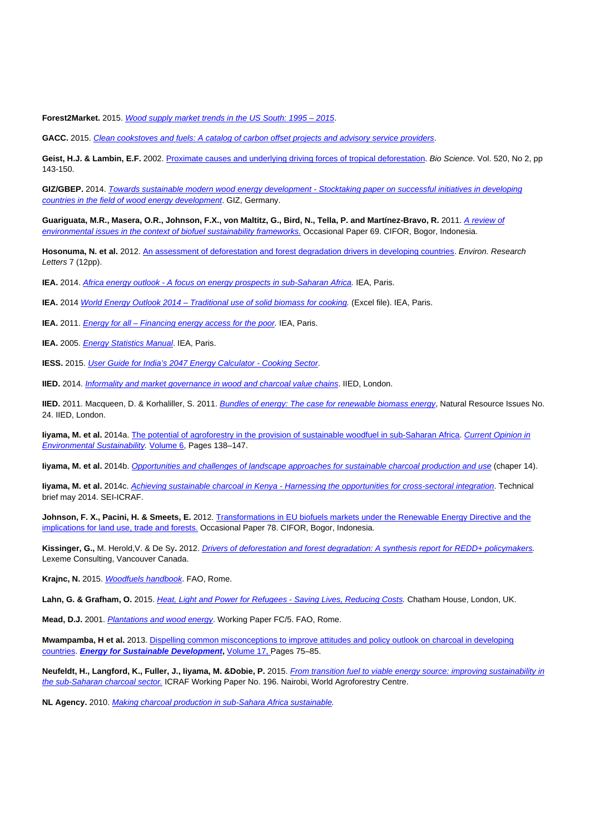Forest2Market. 2015. Wood supply market trends in the US South: 1995 - 2015.

GACC. 2015. [Clean cookstoves and fuels: A catalog of carbon offset projects and advisory service providers](http://cleancookstoves.org/binary-data/RESOURCE/file/000/000/381-1.pdf).

Geist, H.J. & Lambin, E.F. 2002. [Proximate causes and underlying driving forces of tropical deforestation](http://bioscience.oxfordjournals.org/content/52/2/143.full). Bio Science. Vol. 520, No 2, pp 143-150.

**GIZ/GBEP.** 2014. [Towards sustainable modern wood energy development - Stocktaking paper on successful initiatives in developing](https://www.giz.de/fachexpertise/downloads/giz2015-en-report-wood-energy.pdf) [countries in the field of wood energy development](https://www.giz.de/fachexpertise/downloads/giz2015-en-report-wood-energy.pdf). GIZ, Germany.

Guariguata, M.R., Masera, O.R., Johnson, F.X., von Maltitz, G., Bird, N., Tella, P. and Martínez-Bravo, R. 2011. [A review of](http://www.cifor.org/publications/pdf_files/OccPapers/OP-69.pdf) [environmental issues in the context of biofuel sustainability frameworks.](http://www.cifor.org/publications/pdf_files/OccPapers/OP-69.pdf) Occasional Paper 69. CIFOR, Bogor, Indonesia.

Hosonuma, N. et al. 2012. [An assessment of deforestation and forest degradation drivers in developing countries](http://theredddesk.org/sites/default/files/resources/pdf/2012/drivers.pdf). Environ. Research Letters 7 (12pp).

**IEA.** 2014. [Africa energy outlook - A focus on energy prospects in sub-Saharan Africa.](http://www.iea.org/publications/freepublications/publication/WEO2014_AfricaEnergyOutlook.pdf) IEA, Paris.

**IEA.** 2014 [World Energy Outlook 2014 – Traditional use of solid biomass for cooking](http://www.worldenergyoutlook.org/media/weowebsite/WEO2014Biomassdatabase2.xlsx). (Excel file). IEA, Paris.

**IEA.** 2011. *[Energy for all – Financing energy access for the poor](http://www.worldenergyoutlook.org/media/weowebsite/2011/weo2011_energy_for_all.pdf)*. IEA, Paris.

**IEA.** 2005. **[Energy Statistics Manual](https://www.iea.org/publications/freepublications/publication/energy-statistics-manual.html).** IEA, Paris.

**IESS.** 2015. [User Guide for India's 2047 Energy Calculator - Cooking Sector](http://indiaenergy.gov.in/docs/Cooking.pdf).

**IIED.** 2014. *[Informality and market governance in wood and charcoal value chains](http://pubs.iied.org/pdfs/17274IIED.pdf)*. IIED, London.

IIED. 2011. Macqueen, D. & Korhaliller, S. 2011. [Bundles of energy: The case for renewable biomass energy](http://pubs.iied.org/pdfs/13556IIED.pdf), Natural Resource Issues No. 24. IIED, London.

**Iiyama, M. et al.** 2014a. [The potential of agroforestry in the provision of sustainable woodfuel in sub-Saharan Africa.](http://www.sciencedirect.com/science/article/pii/S1877343513001966) [Current Opinion in](http://www.sciencedirect.com/science/journal/18773435) [Environmental Sustainability](http://www.sciencedirect.com/science/journal/18773435). [Volume 6,](http://www.sciencedirect.com/science/journal/18773435/6/supp/C) Pages 138–147.

**Iiyama, M. et al.** 2014b. [Opportunities and challenges of landscape approaches for sustainable charcoal production and use](http://asb.cgiar.org/climate-smart-landscapes/chapters/chapter14.pdf) (chaper 14).

**Iiyama, M. et al.** 2014c. [Achieving sustainable charcoal in Kenya - Harnessing the opportunities for cross-sectoral integration](http://www.sei-international.org/mediamanager/documents/Publications/ICRAF-SEI-2014-techbrief-Sustainable-charcoal.pdf). Technical brief may 2014. SEI-ICRAF.

**Johnson, F. X., Pacini, H. & Smeets, E.** 2012. [Transformations in EU biofuels markets under the Renewable Energy Directive and the](http://www.cifor.org/publications/pdf_files/OccPapers/OP-78.pdf) [implications for land use, trade and forests.](http://www.cifor.org/publications/pdf_files/OccPapers/OP-78.pdf) Occasional Paper 78. CIFOR, Bogor, Indonesia.

**Kissinger, G.,** M. Herold,V. & De Sy**.** 2012. [Drivers of deforestation and forest degradation: A synthesis report for REDD+ policymakers](https://www.gov.uk/government/uploads/system/uploads/attachment_data/file/66151/Drivers_of_deforestation_and_forest_degradation.pdf). Lexeme Consulting, Vancouver Canada.

Krajnc, N. 2015. [Woodfuels handbook](http://www.fao.org/3/a-i4441e.pdf). FAO, Rome.

Lahn, G. & Grafham, O. 2015. [Heat, Light and Power for Refugees - Saving Lives, Reducing Costs.](http://www.gvepinternational.org/sites/default/files/report_final.pdf) Chatham House, London, UK.

**Mead, D.J.** 2001. [Plantations and wood energy](http://www.fao.org/3/a-ac125e.pdf). Working Paper FC/5. FAO, Rome.

**Mwampamba, H et al.** 2013. [Dispelling common misconceptions to improve attitudes and policy outlook on charcoal in developing](http://www.sciencedirect.com/science/article/pii/S0973082613000021) [countries.](http://www.sciencedirect.com/science/article/pii/S0973082613000021) **[Energy for Sustainable Development](http://www.sciencedirect.com/science/journal/09730826),** [Volume 17,](http://www.sciencedirect.com/science/journal/09730826/17/2) Pages 75–85.

**Neufeldt, H., Langford, K., Fuller, J., Iiyama, M. &Dobie, P.** 2015. [From transition fuel to viable energy source: improving sustainability in](http://www.worldagroforestry.org/downloads/Publications/PDFS/WP15011.pdf) [the sub-Saharan charcoal sector.](http://www.worldagroforestry.org/downloads/Publications/PDFS/WP15011.pdf) ICRAF Working Paper No. 196. Nairobi, World Agroforestry Centre.

**NL Agency.** 2010. [Making charcoal production in sub-Sahara Africa sustainable](http://english.rvo.nl/sites/default/files/2013/12/Report%20Charcoal%20-%20BTG%20-%20NPSB_0.pdf).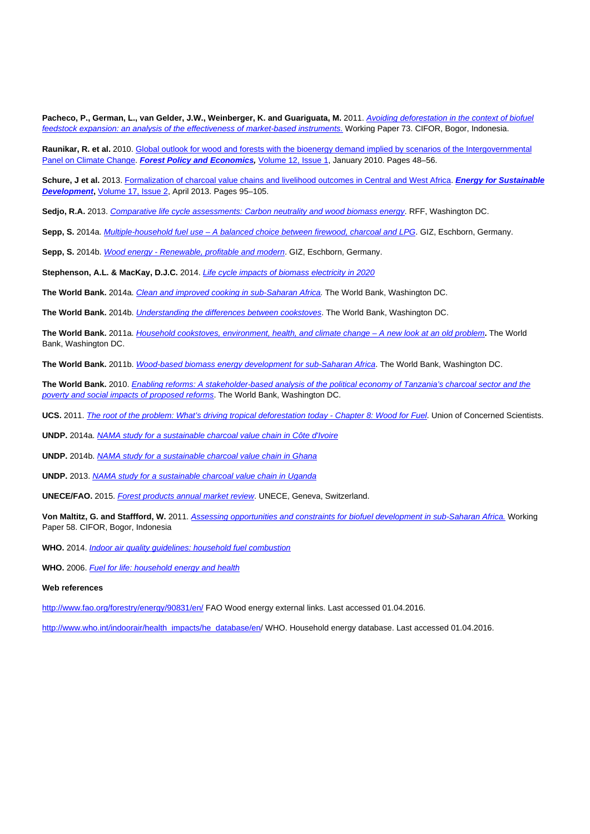**Pacheco, P., German, L., van Gelder, J.W., Weinberger, K. and Guariguata, M.** 2011. [Avoiding deforestation in the context of biofuel](http://www.cifor.org/publications/pdf_files/WPapers/WP73Pacheco.pdf) [feedstock expansion: an analysis of the effectiveness of market-based instruments.](http://www.cifor.org/publications/pdf_files/WPapers/WP73Pacheco.pdf) Working Paper 73, CIFOR, Bogor, Indonesia.

Raunikar, R. et al. 2010. [Global outlook for wood and forests with the bioenergy demand implied by scenarios of the Intergovernmental](http://www.sciencedirect.com/science/article/pii/S1389934109001427) [Panel on Climate Change.](http://www.sciencedirect.com/science/article/pii/S1389934109001427) **[Forest Policy and Economics](http://www.sciencedirect.com/science/journal/13899341),** [Volume 12, Issue 1](http://www.sciencedirect.com/science/journal/13899341/12/1), January 2010. Pages 48–56.

**Schure, J et al.** 2013. [Formalization of charcoal value chains and livelihood outcomes in Central and West Africa](http://www.sciencedirect.com/science/article/pii/S0973082612000452). **[Energy for Sustainable](http://www.sciencedirect.com/science/journal/09730826) [Development](http://www.sciencedirect.com/science/journal/09730826),** [Volume 17, Issue 2,](http://www.sciencedirect.com/science/journal/09730826/17/2) April 2013. Pages 95–105.

Sedjo, R.A. 2013. [Comparative life cycle assessments: Carbon neutrality and wood biomass energy](http://www.rff.org/files/sharepoint/WorkImages/Download/RFF-DP-13-11.pdf). RFF, Washington DC.

**Sepp, S.** 2014a. [Multiple-household fuel use – A balanced choice between firewood, charcoal and LPG](https://www.giz.de/fachexpertise/downloads/giz2014-en-multiple-household-cooking-fuels-hera.pdf). GIZ, Eschborn, Germany.

**Sepp, S.** 2014b. [Wood energy - Renewable, profitable and modern](https://www.giz.de/fachexpertise/downloads/giz2014-en-wood-energy-renewable-modern-profitable-hera.pdf). GIZ, Eschborn, Germany.

**Stephenson, A.L. & MacKay, D.J.C.** 2014. [Life cycle impacts of biomass electricity in 2020](https://www.gov.uk/government/uploads/system/uploads/attachment_data/file/349024/BEAC_Report_290814.pdf)

The World Bank. 2014a. *Clean and improved cooking in sub-Saharan Africa*. The World Bank, Washington DC.

**The World Bank.** 2014b. [Understanding the differences between cookstoves](http://www-wds.worldbank.org/external/default/WDSContentServer/WDSP/IB/2015/02/27/090224b082b6a699/2_0/Rendered/PDF/Understanding00s0between0cookstoves.pdf). The World Bank, Washington DC.

**The World Bank.** 2011a. [Household cookstoves, environment, health, and climate change – A new look at an old problem](http://www-wds.worldbank.org/external/default/WDSContentServer/WDSP/IB/2011/07/20/000386194_20110720022733/Rendered/PDF/632170WP0House00Box0361508B0PUBLIC0.pdf)**.** The World Bank, Washington DC.

**The World Bank.** 2011b. [Wood-based biomass energy development for sub-Saharan Africa](http://siteresources.worldbank.org/EXTAFRREGTOPENERGY/Resources/717305-1266613906108/BiomassEnergyPaper_WEB_Zoomed75.pdf). The World Bank, Washington DC.

**The World Bank.** 2010. [Enabling reforms: A stakeholder-based analysis of the political economy of Tanzania's charcoal sector and the](https://openknowledge.worldbank.org/bitstream/handle/10986/2865/551400ESW0P1201PE1Charcoal1TZ1FINAL.pdf?sequence=1) [poverty and social impacts of proposed reforms](https://openknowledge.worldbank.org/bitstream/handle/10986/2865/551400ESW0P1201PE1Charcoal1TZ1FINAL.pdf?sequence=1). The World Bank, Washington DC.

UCS. 2011. [The root of the problem: What's driving tropical deforestation today - Chapter 8: Wood for Fuel](http://www.ucsusa.org/sites/default/files/legacy/assets/documents/global_warming/UCS_DriversofDeforestation_Chap8_Woodfuel.pdf). Union of Concerned Scientists.

**UNDP.** 2014a. [NAMA study for a sustainable charcoal value chain in Côte d'Ivoire](http://www.undp.org/content/dam/undp/library/Environment%20and%20Energy/MDG%20Carbon%20Facility/NAMA%20Study%20Cote%20D%20Ivoire.pdf)

**UNDP.** 2014b. [NAMA study for a sustainable charcoal value chain in Ghana](http://www.undp.org/content/dam/undp/library/Environment%20and%20Energy/MDG%20Carbon%20Facility/NAMA%20Study%20Ghana%20final.pdf)

**UNDP.** 2013. [NAMA study for a sustainable charcoal value chain in Uganda](http://www.undp.org/content/dam/undp/library/Environment%20and%20Energy/MDG%20Carbon%20Facility/CharcoalNAMAstudy_9Jan2013.pdf)

UNECE/FAO. 2015. [Forest products annual market review](http://www.unece.org/fileadmin/DAM/timber/publications/2015-FPAMR-E.pdf). UNECE, Geneva, Switzerland.

**Von Maltitz, G. and Staffford, W.** 2011. [Assessing opportunities and constraints for biofuel development in sub-Saharan Africa.](http://www.cifor.org/publications/pdf_files/WPapers/WP58CIFOR.pdf) Working Paper 58. CIFOR, Bogor, Indonesia

**WHO.** 2014. [Indoor air quality guidelines: household fuel combustion](http://www.who.int/indoorair/publications/household-fuel-combustion/en/)

**WHO.** 2006. [Fuel for life: household energy and health](http://www.who.int/indoorair/publications/fuelforlife.pdf?ua=1)

#### **Web references**

<http://www.fao.org/forestry/energy/90831/en/> FAO Wood energy external links. Last accessed 01.04.2016.

[http://www.who.int/indoorair/health\\_impacts/he\\_database/en](http://www.who.int/indoorair/health_impacts/he_database/en)/ WHO. Household energy database. Last accessed 01.04.2016.